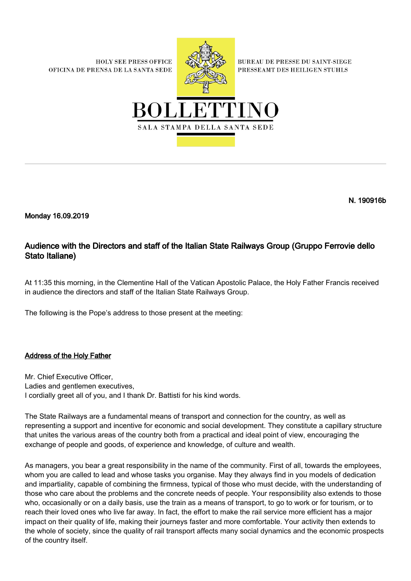**HOLY SEE PRESS OFFICE** OFICINA DE PRENSA DE LA SANTA SEDE



**BUREAU DE PRESSE DU SAINT-SIEGE** PRESSEAMT DES HEILIGEN STUHLS



N. 190916b

Monday 16.09.2019

## Audience with the Directors and staff of the Italian State Railways Group (Gruppo Ferrovie dello Stato Italiane)

At 11:35 this morning, in the Clementine Hall of the Vatican Apostolic Palace, the Holy Father Francis received in audience the directors and staff of the Italian State Railways Group.

The following is the Pope's address to those present at the meeting:

## Address of the Holy Father

Mr. Chief Executive Officer, Ladies and gentlemen executives, I cordially greet all of you, and I thank Dr. Battisti for his kind words.

The State Railways are a fundamental means of transport and connection for the country, as well as representing a support and incentive for economic and social development. They constitute a capillary structure that unites the various areas of the country both from a practical and ideal point of view, encouraging the exchange of people and goods, of experience and knowledge, of culture and wealth.

As managers, you bear a great responsibility in the name of the community. First of all, towards the employees, whom you are called to lead and whose tasks you organise. May they always find in you models of dedication and impartiality, capable of combining the firmness, typical of those who must decide, with the understanding of those who care about the problems and the concrete needs of people. Your responsibility also extends to those who, occasionally or on a daily basis, use the train as a means of transport, to go to work or for tourism, or to reach their loved ones who live far away. In fact, the effort to make the rail service more efficient has a major impact on their quality of life, making their journeys faster and more comfortable. Your activity then extends to the whole of society, since the quality of rail transport affects many social dynamics and the economic prospects of the country itself.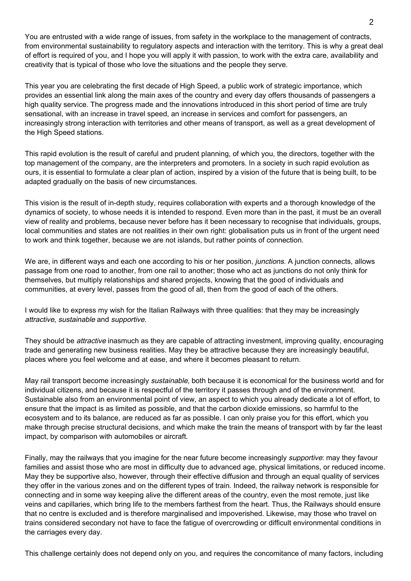You are entrusted with a wide range of issues, from safety in the workplace to the management of contracts, from environmental sustainability to regulatory aspects and interaction with the territory. This is why a great deal of effort is required of you, and I hope you will apply it with passion, to work with the extra care, availability and creativity that is typical of those who love the situations and the people they serve.

This year you are celebrating the first decade of High Speed, a public work of strategic importance, which provides an essential link along the main axes of the country and every day offers thousands of passengers a high quality service. The progress made and the innovations introduced in this short period of time are truly sensational, with an increase in travel speed, an increase in services and comfort for passengers, an increasingly strong interaction with territories and other means of transport, as well as a great development of the High Speed stations.

This rapid evolution is the result of careful and prudent planning, of which you, the directors, together with the top management of the company, are the interpreters and promoters. In a society in such rapid evolution as ours, it is essential to formulate a clear plan of action, inspired by a vision of the future that is being built, to be adapted gradually on the basis of new circumstances.

This vision is the result of in-depth study, requires collaboration with experts and a thorough knowledge of the dynamics of society, to whose needs it is intended to respond. Even more than in the past, it must be an overall view of reality and problems, because never before has it been necessary to recognise that individuals, groups, local communities and states are not realities in their own right: globalisation puts us in front of the urgent need to work and think together, because we are not islands, but rather points of connection.

We are, in different ways and each one according to his or her position, *junctions*. A junction connects, allows passage from one road to another, from one rail to another; those who act as junctions do not only think for themselves, but multiply relationships and shared projects, knowing that the good of individuals and communities, at every level, passes from the good of all, then from the good of each of the others.

I would like to express my wish for the Italian Railways with three qualities: that they may be increasingly attractive, sustainable and supportive.

They should be *attractive* inasmuch as they are capable of attracting investment, improving quality, encouraging trade and generating new business realities. May they be attractive because they are increasingly beautiful, places where you feel welcome and at ease, and where it becomes pleasant to return.

May rail transport become increasingly *sustainable*, both because it is economical for the business world and for individual citizens, and because it is respectful of the territory it passes through and of the environment. Sustainable also from an environmental point of view, an aspect to which you already dedicate a lot of effort, to ensure that the impact is as limited as possible, and that the carbon dioxide emissions, so harmful to the ecosystem and to its balance, are reduced as far as possible. I can only praise you for this effort, which you make through precise structural decisions, and which make the train the means of transport with by far the least impact, by comparison with automobiles or aircraft.

Finally, may the railways that you imagine for the near future become increasingly *supportive*: may they favour families and assist those who are most in difficulty due to advanced age, physical limitations, or reduced income. May they be supportive also, however, through their effective diffusion and through an equal quality of services they offer in the various zones and on the different types of train. Indeed, the railway network is responsible for connecting and in some way keeping alive the different areas of the country, even the most remote, just like veins and capillaries, which bring life to the members farthest from the heart. Thus, the Railways should ensure that no centre is excluded and is therefore marginalised and impoverished. Likewise, may those who travel on trains considered secondary not have to face the fatigue of overcrowding or difficult environmental conditions in the carriages every day.